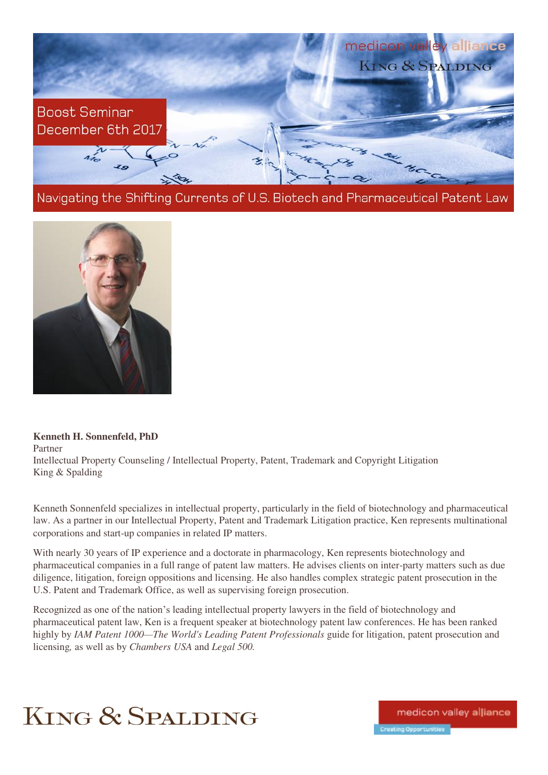

Navigating the Shifting Currents of U.S. Biotech and Pharmaceutical Patent Law



**Kenneth H. Sonnenfeld, PhD**  Partner Intellectual Property Counseling / Intellectual Property, Patent, Trademark and Copyright Litigation King & Spalding

Kenneth Sonnenfeld specializes in intellectual property, particularly in the field of biotechnology and pharmaceutical law. As a partner in our Intellectual Property, Patent and Trademark Litigation practice, Ken represents multinational corporations and start-up companies in related IP matters.

With nearly 30 years of IP experience and a doctorate in pharmacology, Ken represents biotechnology and pharmaceutical companies in a full range of patent law matters. He advises clients on inter-party matters such as due diligence, litigation, foreign oppositions and licensing. He also handles complex strategic patent prosecution in the U.S. Patent and Trademark Office, as well as supervising foreign prosecution.

Recognized as one of the nation's leading intellectual property lawyers in the field of biotechnology and pharmaceutical patent law, Ken is a frequent speaker at biotechnology patent law conferences. He has been ranked highly by *IAM Patent 1000—The World's Leading Patent Professionals* guide for litigation, patent prosecution and licensing*,* as well as by *Chambers USA* and *Legal 500.*



medicon valley alliance Creating Opportunities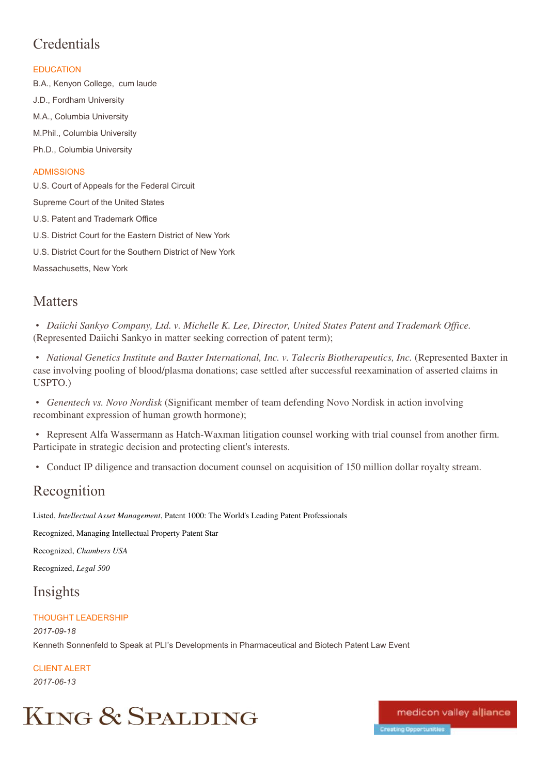## **Credentials**

### **EDUCATION**

B.A., Kenyon College, cum laude J.D., Fordham University M.A., Columbia University M.Phil., Columbia University Ph.D., Columbia University **ADMISSIONS** 

U.S. Court of Appeals for the Federal Circuit Supreme Court of the United States U.S. Patent and Trademark Office

U.S. District Court for the Eastern District of New York

U.S. District Court for the Southern District of New York

Massachusetts, New York

## **Matters**

• *Daiichi Sankyo Company, Ltd. v. Michelle K. Lee, Director, United States Patent and Trademark Office.*  (Represented Daiichi Sankyo in matter seeking correction of patent term);

• *National Genetics Institute and Baxter International, Inc. v. Talecris Biotherapeutics, Inc.* (Represented Baxter in case involving pooling of blood/plasma donations; case settled after successful reexamination of asserted claims in USPTO.)

• *Genentech vs. Novo Nordisk* (Significant member of team defending Novo Nordisk in action involving recombinant expression of human growth hormone);

• Represent Alfa Wassermann as Hatch-Waxman litigation counsel working with trial counsel from another firm. Participate in strategic decision and protecting client's interests.

• Conduct IP diligence and transaction document counsel on acquisition of 150 million dollar royalty stream.

## Recognition

Listed, *Intellectual Asset Management*, Patent 1000: The World's Leading Patent Professionals

Recognized, Managing Intellectual Property Patent Star

Recognized, *Chambers USA*

Recognized, *Legal 500* 

## Insights

### THOUGHT LEADERSHIP

*2017-09-18* Kenneth Sonnenfeld to Speak at PLI's Developments in Pharmaceutical and Biotech Patent Law Event

CLIENT ALERT *2017-06-13*